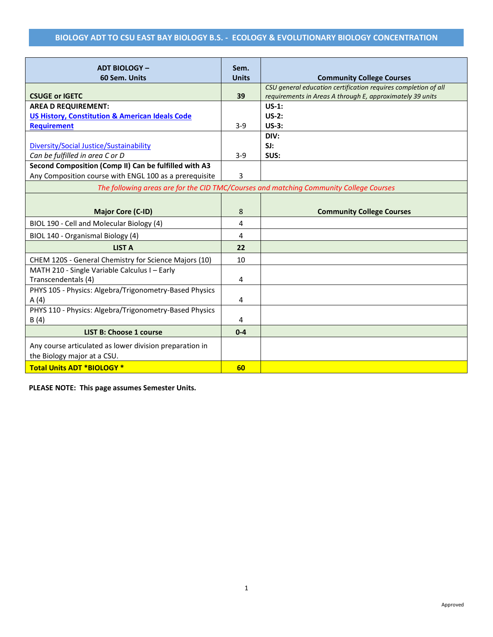| <b>ADT BIOLOGY -</b>                                                                   | Sem.         |                                                                                                                             |  |
|----------------------------------------------------------------------------------------|--------------|-----------------------------------------------------------------------------------------------------------------------------|--|
| 60 Sem. Units                                                                          | <b>Units</b> | <b>Community College Courses</b>                                                                                            |  |
| <b>CSUGE or IGETC</b>                                                                  | 39           | CSU general education certification requires completion of all<br>requirements in Areas A through E, approximately 39 units |  |
| <b>AREA D REQUIREMENT:</b>                                                             |              | $US-1:$                                                                                                                     |  |
| <b>US History, Constitution &amp; American Ideals Code</b>                             |              | $US-2:$                                                                                                                     |  |
| <b>Requirement</b>                                                                     | $3 - 9$      | $US-3:$                                                                                                                     |  |
|                                                                                        |              | DIV:                                                                                                                        |  |
| Diversity/Social Justice/Sustainability                                                |              | SI:                                                                                                                         |  |
| Can be fulfilled in area C or D                                                        | $3 - 9$      | SUS:                                                                                                                        |  |
| Second Composition (Comp II) Can be fulfilled with A3                                  |              |                                                                                                                             |  |
| Any Composition course with ENGL 100 as a prerequisite                                 | 3            |                                                                                                                             |  |
| The following areas are for the CID TMC/Courses and matching Community College Courses |              |                                                                                                                             |  |
|                                                                                        |              |                                                                                                                             |  |
| <b>Major Core (C-ID)</b>                                                               | 8            | <b>Community College Courses</b>                                                                                            |  |
| BIOL 190 - Cell and Molecular Biology (4)                                              | 4            |                                                                                                                             |  |
| BIOL 140 - Organismal Biology (4)                                                      | 4            |                                                                                                                             |  |
| <b>LIST A</b>                                                                          | 22           |                                                                                                                             |  |
| CHEM 120S - General Chemistry for Science Majors (10)                                  | 10           |                                                                                                                             |  |
| MATH 210 - Single Variable Calculus I - Early<br>Transcendentals (4)                   | 4            |                                                                                                                             |  |
| PHYS 105 - Physics: Algebra/Trigonometry-Based Physics                                 |              |                                                                                                                             |  |
| A(4)                                                                                   | 4            |                                                                                                                             |  |
| PHYS 110 - Physics: Algebra/Trigonometry-Based Physics                                 |              |                                                                                                                             |  |
| B(4)                                                                                   | 4            |                                                                                                                             |  |
| <b>LIST B: Choose 1 course</b>                                                         | $0 - 4$      |                                                                                                                             |  |
| Any course articulated as lower division preparation in<br>the Biology major at a CSU. |              |                                                                                                                             |  |
| <b>Total Units ADT *BIOLOGY *</b>                                                      | 60           |                                                                                                                             |  |

**PLEASE NOTE: This page assumes Semester Units.**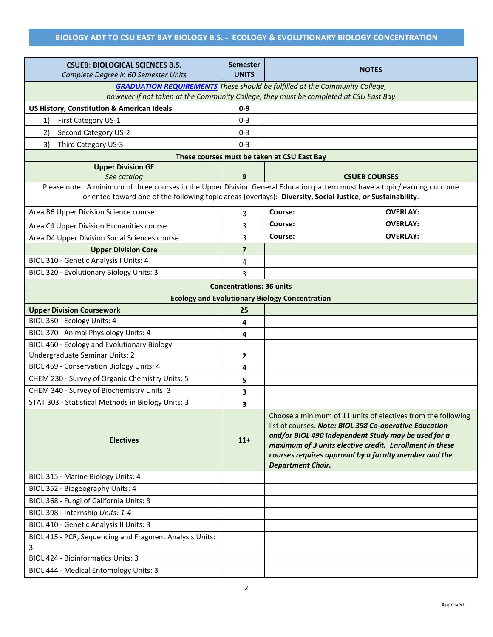| <b>CSUEB: BIOLOGICAL SCIENCES B.S.</b>                                                                                                                                      | <b>Semester</b>                 | <b>NOTES</b>                                                                                                                                                                                                                                                                                                                  |  |  |  |
|-----------------------------------------------------------------------------------------------------------------------------------------------------------------------------|---------------------------------|-------------------------------------------------------------------------------------------------------------------------------------------------------------------------------------------------------------------------------------------------------------------------------------------------------------------------------|--|--|--|
| Complete Degree in 60 Semester Units                                                                                                                                        | <b>UNITS</b>                    |                                                                                                                                                                                                                                                                                                                               |  |  |  |
| <b>GRADUATION REQUIREMENTS</b> These should be fulfilled at the Community College,<br>however if not taken at the Community College, they must be completed at CSU East Bay |                                 |                                                                                                                                                                                                                                                                                                                               |  |  |  |
| <b>US History, Constitution &amp; American Ideals</b>                                                                                                                       | $0-9$                           |                                                                                                                                                                                                                                                                                                                               |  |  |  |
| First Category US-1<br>1)                                                                                                                                                   | $0 - 3$                         |                                                                                                                                                                                                                                                                                                                               |  |  |  |
| Second Category US-2<br>2)                                                                                                                                                  | $0 - 3$                         |                                                                                                                                                                                                                                                                                                                               |  |  |  |
| Third Category US-3<br>3)                                                                                                                                                   | $0 - 3$                         |                                                                                                                                                                                                                                                                                                                               |  |  |  |
|                                                                                                                                                                             |                                 | These courses must be taken at CSU East Bay                                                                                                                                                                                                                                                                                   |  |  |  |
| <b>Upper Division GE</b>                                                                                                                                                    |                                 |                                                                                                                                                                                                                                                                                                                               |  |  |  |
| See catalog                                                                                                                                                                 | 9                               | <b>CSUEB COURSES</b>                                                                                                                                                                                                                                                                                                          |  |  |  |
|                                                                                                                                                                             |                                 | Please note: A minimum of three courses in the Upper Division General Education pattern must have a topic/learning outcome                                                                                                                                                                                                    |  |  |  |
|                                                                                                                                                                             |                                 | oriented toward one of the following topic areas (overlays): Diversity, Social Justice, or Sustainability.                                                                                                                                                                                                                    |  |  |  |
| Area B6 Upper Division Science course                                                                                                                                       | 3                               | Course:<br><b>OVERLAY:</b>                                                                                                                                                                                                                                                                                                    |  |  |  |
| Area C4 Upper Division Humanities course                                                                                                                                    | 3                               | Course:<br><b>OVERLAY:</b>                                                                                                                                                                                                                                                                                                    |  |  |  |
| Area D4 Upper Division Social Sciences course                                                                                                                               | 3                               | <b>OVERLAY:</b><br>Course:                                                                                                                                                                                                                                                                                                    |  |  |  |
| <b>Upper Division Core</b>                                                                                                                                                  | $\overline{\mathbf{z}}$         |                                                                                                                                                                                                                                                                                                                               |  |  |  |
| BIOL 310 - Genetic Analysis I Units: 4                                                                                                                                      | 4                               |                                                                                                                                                                                                                                                                                                                               |  |  |  |
| BIOL 320 - Evolutionary Biology Units: 3                                                                                                                                    | 3                               |                                                                                                                                                                                                                                                                                                                               |  |  |  |
|                                                                                                                                                                             | <b>Concentrations: 36 units</b> |                                                                                                                                                                                                                                                                                                                               |  |  |  |
|                                                                                                                                                                             |                                 | <b>Ecology and Evolutionary Biology Concentration</b>                                                                                                                                                                                                                                                                         |  |  |  |
| <b>Upper Division Coursework</b>                                                                                                                                            | 25                              |                                                                                                                                                                                                                                                                                                                               |  |  |  |
| BIOL 350 - Ecology Units: 4                                                                                                                                                 | 4                               |                                                                                                                                                                                                                                                                                                                               |  |  |  |
| BIOL 370 - Animal Physiology Units: 4                                                                                                                                       | 4                               |                                                                                                                                                                                                                                                                                                                               |  |  |  |
| BIOL 460 - Ecology and Evolutionary Biology                                                                                                                                 |                                 |                                                                                                                                                                                                                                                                                                                               |  |  |  |
| Undergraduate Seminar Units: 2                                                                                                                                              | 2                               |                                                                                                                                                                                                                                                                                                                               |  |  |  |
| BIOL 469 - Conservation Biology Units: 4                                                                                                                                    | 4                               |                                                                                                                                                                                                                                                                                                                               |  |  |  |
| CHEM 230 - Survey of Organic Chemistry Units: 5                                                                                                                             | 5                               |                                                                                                                                                                                                                                                                                                                               |  |  |  |
| CHEM 340 - Survey of Biochemistry Units: 3                                                                                                                                  | 3                               |                                                                                                                                                                                                                                                                                                                               |  |  |  |
| STAT 303 - Statistical Methods in Biology Units: 3                                                                                                                          | 3                               |                                                                                                                                                                                                                                                                                                                               |  |  |  |
| <b>Electives</b>                                                                                                                                                            | $11+$                           | Choose a minimum of 11 units of electives from the following<br>list of courses. Note: BIOL 398 Co-operative Education<br>and/or BIOL 490 Independent Study may be used for a<br>maximum of 3 units elective credit. Enrollment in these<br>courses requires approval by a faculty member and the<br><b>Department Chair.</b> |  |  |  |
| BIOL 315 - Marine Biology Units: 4                                                                                                                                          |                                 |                                                                                                                                                                                                                                                                                                                               |  |  |  |
| BIOL 352 - Biogeography Units: 4                                                                                                                                            |                                 |                                                                                                                                                                                                                                                                                                                               |  |  |  |
| BIOL 368 - Fungi of California Units: 3                                                                                                                                     |                                 |                                                                                                                                                                                                                                                                                                                               |  |  |  |
| BIOL 398 - Internship Units: 1-4                                                                                                                                            |                                 |                                                                                                                                                                                                                                                                                                                               |  |  |  |
| BIOL 410 - Genetic Analysis II Units: 3                                                                                                                                     |                                 |                                                                                                                                                                                                                                                                                                                               |  |  |  |
| BIOL 415 - PCR, Sequencing and Fragment Analysis Units:                                                                                                                     |                                 |                                                                                                                                                                                                                                                                                                                               |  |  |  |
| 3                                                                                                                                                                           |                                 |                                                                                                                                                                                                                                                                                                                               |  |  |  |
| <b>BIOL 424 - Bioinformatics Units: 3</b>                                                                                                                                   |                                 |                                                                                                                                                                                                                                                                                                                               |  |  |  |
| BIOL 444 - Medical Entomology Units: 3                                                                                                                                      |                                 |                                                                                                                                                                                                                                                                                                                               |  |  |  |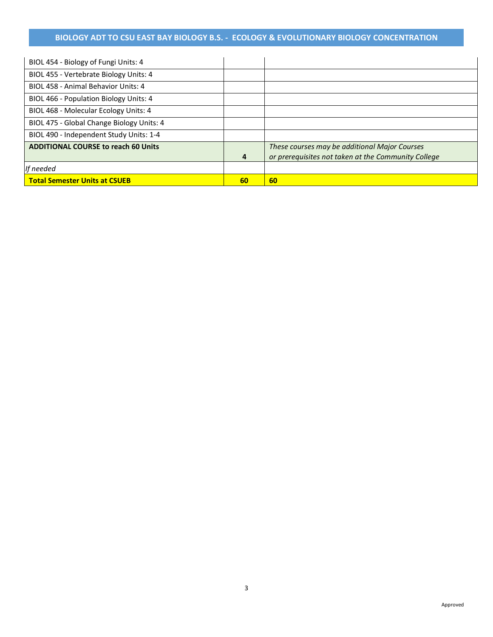| BIOL 454 - Biology of Fungi Units: 4       |    |                                                     |
|--------------------------------------------|----|-----------------------------------------------------|
| BIOL 455 - Vertebrate Biology Units: 4     |    |                                                     |
| BIOL 458 - Animal Behavior Units: 4        |    |                                                     |
| BIOL 466 - Population Biology Units: 4     |    |                                                     |
| BIOL 468 - Molecular Ecology Units: 4      |    |                                                     |
| BIOL 475 - Global Change Biology Units: 4  |    |                                                     |
| BIOL 490 - Independent Study Units: 1-4    |    |                                                     |
| <b>ADDITIONAL COURSE to reach 60 Units</b> |    | These courses may be additional Major Courses       |
|                                            | 4  | or prerequisites not taken at the Community College |
| If needed                                  |    |                                                     |
| <b>Total Semester Units at CSUEB</b>       | 60 | 60                                                  |